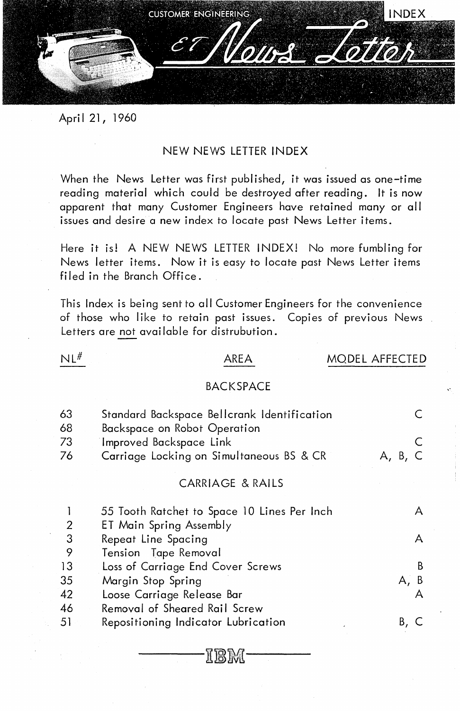

April 21, 1960

#### NEW NEWS LETTER INDEX

When the News Letter was first published, it was issued as one-time reading material which could be destroyed after reading. It is now apparent that many Customer Engineers have retained many or all issues and desire a new index to locate past News Letter items.

Here it is! A NEW NEWS LETTER INDEX! No more fumbling for News letter items. Now it is easy to locate past News Letter items filed in the Branch Office.

This Index is being sent to all Customer Engineers for the convenience of those who like to retain past issues. Copies of previous News Letters are not available for distrubution.

#### $NL^{\#}$

#### AREA MODEL AFFECTED

#### BACKSPACE

| 63<br>68                | Standard Backspace Bellcrank Identification<br>Backspace on Robot Operation |         |
|-------------------------|-----------------------------------------------------------------------------|---------|
| 73                      | Improved Backspace Link                                                     |         |
| 76                      | Carriage Locking on Simultaneous BS & CR                                    | A, B,   |
|                         | CARRIAGE & RAILS                                                            |         |
|                         | 55 Tooth Ratchet to Space 10 Lines Per Inch                                 | A       |
| $\overline{\mathbf{c}}$ | ET Main Spring Assembly                                                     |         |
| $\overline{3}$          | Repeat Line Spacing                                                         | A       |
| 9                       | Tension Tape Removal                                                        |         |
| 13                      | Loss of Carriage End Cover Screws                                           | B       |
| 35                      | Margin Stop Spring                                                          | B<br>Α, |
| 42                      | Loose Carriage Release Bar                                                  |         |
| 46                      | Removal of Sheared Rail Screw                                               |         |
| 51                      | Repositioning Indicator Lubrication                                         | Β,      |

II IS IM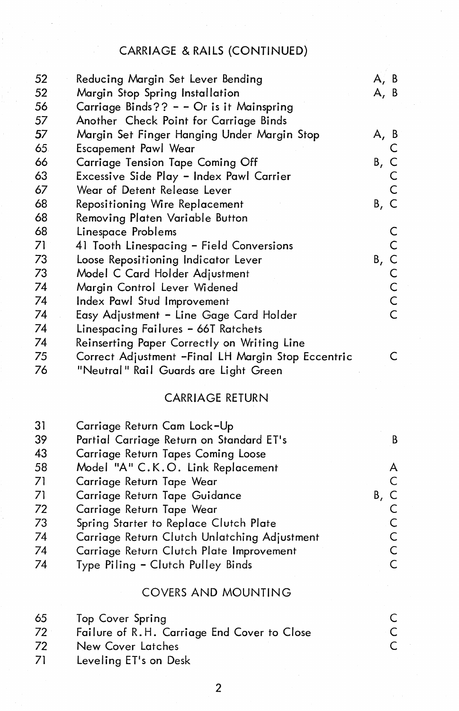# CARRIAGE & RAILS (CONTINUED)

|                                                    | A, B                                                                                                                                                                                                                                                                                                                                                                                                                                                                                                                                                                                                                                                                                                                                            |
|----------------------------------------------------|-------------------------------------------------------------------------------------------------------------------------------------------------------------------------------------------------------------------------------------------------------------------------------------------------------------------------------------------------------------------------------------------------------------------------------------------------------------------------------------------------------------------------------------------------------------------------------------------------------------------------------------------------------------------------------------------------------------------------------------------------|
|                                                    | A, B                                                                                                                                                                                                                                                                                                                                                                                                                                                                                                                                                                                                                                                                                                                                            |
|                                                    |                                                                                                                                                                                                                                                                                                                                                                                                                                                                                                                                                                                                                                                                                                                                                 |
|                                                    |                                                                                                                                                                                                                                                                                                                                                                                                                                                                                                                                                                                                                                                                                                                                                 |
|                                                    | A, B                                                                                                                                                                                                                                                                                                                                                                                                                                                                                                                                                                                                                                                                                                                                            |
|                                                    |                                                                                                                                                                                                                                                                                                                                                                                                                                                                                                                                                                                                                                                                                                                                                 |
|                                                    | Β,                                                                                                                                                                                                                                                                                                                                                                                                                                                                                                                                                                                                                                                                                                                                              |
|                                                    |                                                                                                                                                                                                                                                                                                                                                                                                                                                                                                                                                                                                                                                                                                                                                 |
| Wear of Detent Release Lever                       |                                                                                                                                                                                                                                                                                                                                                                                                                                                                                                                                                                                                                                                                                                                                                 |
|                                                    | Β,<br>C                                                                                                                                                                                                                                                                                                                                                                                                                                                                                                                                                                                                                                                                                                                                         |
|                                                    |                                                                                                                                                                                                                                                                                                                                                                                                                                                                                                                                                                                                                                                                                                                                                 |
|                                                    |                                                                                                                                                                                                                                                                                                                                                                                                                                                                                                                                                                                                                                                                                                                                                 |
|                                                    |                                                                                                                                                                                                                                                                                                                                                                                                                                                                                                                                                                                                                                                                                                                                                 |
|                                                    | Β,                                                                                                                                                                                                                                                                                                                                                                                                                                                                                                                                                                                                                                                                                                                                              |
|                                                    | C                                                                                                                                                                                                                                                                                                                                                                                                                                                                                                                                                                                                                                                                                                                                               |
|                                                    |                                                                                                                                                                                                                                                                                                                                                                                                                                                                                                                                                                                                                                                                                                                                                 |
|                                                    | C                                                                                                                                                                                                                                                                                                                                                                                                                                                                                                                                                                                                                                                                                                                                               |
|                                                    | C.                                                                                                                                                                                                                                                                                                                                                                                                                                                                                                                                                                                                                                                                                                                                              |
|                                                    |                                                                                                                                                                                                                                                                                                                                                                                                                                                                                                                                                                                                                                                                                                                                                 |
|                                                    |                                                                                                                                                                                                                                                                                                                                                                                                                                                                                                                                                                                                                                                                                                                                                 |
| Correct Adjustment -Final LH Margin Stop Eccentric | C.                                                                                                                                                                                                                                                                                                                                                                                                                                                                                                                                                                                                                                                                                                                                              |
| "Neutral" Rail Guards are Light Green              |                                                                                                                                                                                                                                                                                                                                                                                                                                                                                                                                                                                                                                                                                                                                                 |
|                                                    | Reducing Margin Set Lever Bending<br>Margin Stop Spring Installation<br>Carriage Binds?? - - Or is it Mainspring<br>Another Check Point for Carriage Binds<br>Margin Set Finger Hanging Under Margin Stop<br><b>Escapement Pawl Wear</b><br><b>Carriage Tension Tape Coming Off</b><br>Excessive Side Play - Index Pawl Carrier<br>Repositioning Wire Replacement<br>Removing Platen Variable Button<br>Linespace Problems<br>41 Tooth Linespacing - Field Conversions<br>Loose Repositioning Indicator Lever<br>Model C Card Holder Adjustment<br>Margin Control Lever Widened<br>Index Pawl Stud Improvement<br>Easy Adjustment - Line Gage Card Holder<br>Linespacing Failures - 66T Ratchets<br>Reinserting Paper Correctly on Writing Line |

## CARRIAGE RETURN

| -31 | Carriage Return Cam Lock-Up                  |      |
|-----|----------------------------------------------|------|
| 39  | Partial Carriage Return on Standard ET's     |      |
| 43  | Carriage Return Tapes Coming Loose           |      |
| 58  | Model "A" C.K.O. Link Replacement            |      |
| 71  | Carriage Return Tape Wear                    |      |
| 71  | Carriage Return Tape Guidance                | B, C |
| 72  | Carriage Return Tape Wear                    |      |
| 73  | Spring Starter to Replace Clutch Plate       |      |
| 74  | Carriage Return Clutch Unlatching Adjustment |      |
| 74  | Carriage Return Clutch Plate Improvement     |      |
| 74  | Type Piling - Clutch Pulley Binds            |      |
|     |                                              |      |

## COVERS AND MOUNTING

| 65  | Top Cover Spring                            |    |
|-----|---------------------------------------------|----|
| 72. | Failure of R.H. Carriage End Cover to Close | -C |
| 72  | New Cover Latches                           |    |
| 71  | Leveling ET's on Desk                       |    |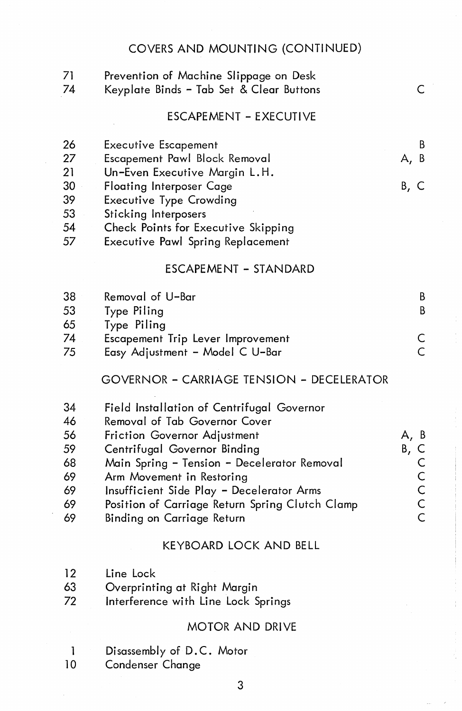#### COVERS AND MOUNTING (CONTINUED)

| 71<br>74         | Prevention of Machine Slippage on Desk<br>Keyplate Binds – Tab Set & Clear Buttons                                                                                       | C.             |
|------------------|--------------------------------------------------------------------------------------------------------------------------------------------------------------------------|----------------|
|                  | <b>ESCAPEMENT - EXECUTIVE</b>                                                                                                                                            |                |
| 26               | <b>Executive Escapement</b>                                                                                                                                              | B              |
| 27               | Escapement Pawl Block Removal                                                                                                                                            | -B<br>А,       |
| 21<br>30         | Un-Even Executive Margin L.H.                                                                                                                                            |                |
| 39               | <b>Floating Interposer Cage</b><br><b>Executive Type Crowding</b>                                                                                                        | B, C           |
| 53               | Sticking Interposers                                                                                                                                                     |                |
| 54               | Check Points for Executive Skipping                                                                                                                                      |                |
| 57               | <b>Executive Pawl Spring Replacement</b>                                                                                                                                 |                |
|                  | ESCAPEMENT - STANDARD                                                                                                                                                    |                |
| 38               | Removal of U-Bar                                                                                                                                                         | B              |
| 53               | Type Piling                                                                                                                                                              | B              |
| 65               | Type Piling                                                                                                                                                              |                |
| 74               | Escapement Trip Lever Improvement                                                                                                                                        | С              |
| 75               | Easy Adjustment - Model C U-Bar                                                                                                                                          | Ċ              |
|                  | <b>GOVERNOR - CARRIAGE TENSION - DECELERATOR</b>                                                                                                                         |                |
| 34               | Field Installation of Centrifugal Governor                                                                                                                               |                |
| 46               | Removal of Tab Governor Cover                                                                                                                                            |                |
| 56               | Friction Governor Adjustment                                                                                                                                             | A, B           |
| 59               | Centrifugal Governor Binding                                                                                                                                             | Β,<br>C        |
| 68               | Main Spring - Tension - Decelerator Removal                                                                                                                              | $\mathsf C$    |
| 69<br>$\sqrt{2}$ | Arm Movement in Restoring<br>$\mathsf{C}\mathsf{C}\mathsf{C}\mathsf{C}$ . $\mathsf{C}\mathsf{C}\mathsf{C}$ . In the $\mathsf{C}\mathsf{C}\mathsf{C}\mathsf{C}\mathsf{C}$ | $\overline{C}$ |
|                  |                                                                                                                                                                          |                |

- 
- 69 Insufficient Side Play Decelerator Arms C 69 Position of Carriage Return Spring Clutch Clamp
- 69 Binding on Carriage Return

#### KEYBOARD LOCK AND BELL

- 12 Line Lock
- 63 Overprinting at Right Margin
- 72 Interference with Line Lock Springs

## MOTOR AND DRIVE

- 1 Disassembly of D.C. Motor<br>10 Condenser Change
- Condenser Change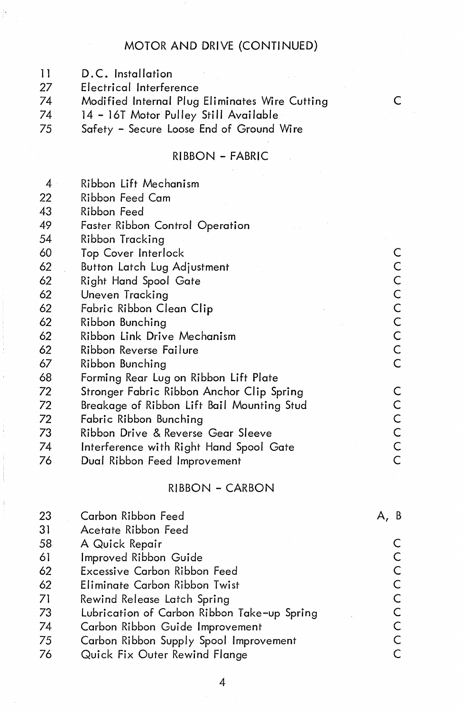## MOTOR AND DRIVE (CONTINUED)

- 11 D.C. Installation<br>27 Electrical Interfere
- 27 Electrical Interference<br>74 Modified Internal Plua
- 74 Modified Internal Plug Eliminates Wire Cutting C
- 
- 74 14 16T Motor Pulley Still Available Safety - Secure Loose End of Ground Wire

## RIBBON - FABRIC

| 4  | Ribbon Lift Mechanism                      |                |
|----|--------------------------------------------|----------------|
| 22 | Ribbon Feed Cam                            |                |
| 43 | Ribbon Feed                                |                |
| 49 | Faster Ribbon Control Operation            |                |
| 54 | Ribbon Tracking                            |                |
| 60 | Top Cover Interlock                        | C              |
| 62 | Button Latch Lug Adjustment                |                |
| 62 | Right Hand Spool Gate                      | $\frac{C}{C}$  |
| 62 | Uneven Tracking                            | $\mathsf{C}$   |
| 62 | Fabric Ribbon Clean Clip                   | $\mathsf C$    |
| 62 | Ribbon Bunching                            | $\mathsf C$    |
| 62 | Ribbon Link Drive Mechanism                | $\mathsf C$    |
| 62 | Ribbon Reverse Failure                     | $\frac{C}{C}$  |
| 67 | Ribbon Bunching                            |                |
| 68 | Forming Rear Lug on Ribbon Lift Plate      |                |
| 72 | Stronger Fabric Ribbon Anchor Clip Spring  | С              |
| 72 | Breakage of Ribbon Lift Bail Mounting Stud | $\mathsf C$    |
| 72 | Fabric Ribbon Bunching                     | $\mathsf{C}$   |
| 73 | Ribbon Drive & Reverse Gear Sleeve         | $\mathsf C$    |
| 74 | Interference with Right Hand Spool Gate    | C              |
| 76 | Dual Ribbon Feed Improvement               | $\overline{C}$ |
|    |                                            |                |

#### RIBBON - CARBON

| 23              | Carbon Ribbon Feed                          |  |
|-----------------|---------------------------------------------|--|
| 31              | Acetate Ribbon Feed                         |  |
| 58              | A Quick Repair                              |  |
| 61              | Improved Ribbon Guide                       |  |
| 62              | Excessive Carbon Ribbon Feed                |  |
| 62 <sub>2</sub> | Eliminate Carbon Ribbon Twist               |  |
| 71              | Rewind Release Latch Spring                 |  |
| 73              | Lubrication of Carbon Ribbon Take-up Spring |  |
| 74              | Carbon Ribbon Guide Improvement             |  |
| 75              | Carbon Ribbon Supply Spool Improvement      |  |
| 76              | Quick Fix Outer Rewind Flange               |  |
|                 |                                             |  |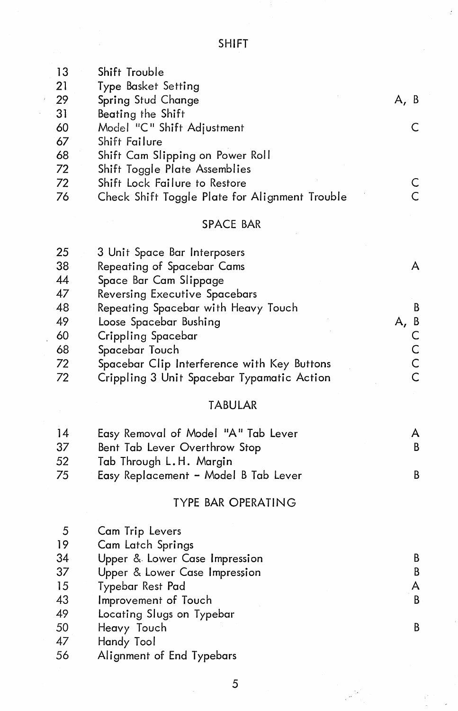SHIFT

| 13 | Shift Trouble                                  |      |
|----|------------------------------------------------|------|
| 21 | Type Basket Setting                            |      |
| 29 | Spring Stud Change                             | A, B |
| 31 | Beating the Shift                              |      |
| 60 | Model "C" Shift Adjustment                     |      |
| 67 | Shift Failure                                  |      |
| 68 | Shift Cam Slipping on Power Roll               |      |
| 72 | Shift Toggle Plate Assemblies                  |      |
| 72 | Shift Lock Failure to Restore                  |      |
| 76 | Check Shift Toggle Plate for Alignment Trouble |      |

#### SPACE BAR

| 25 | 3 Unit Space Bar Interposers                |           |
|----|---------------------------------------------|-----------|
| 38 | Repeating of Spacebar Cams                  |           |
| 44 | Space Bar Cam Slippage                      |           |
| 47 | Reversing Executive Spacebars               |           |
| 48 | Repeating Spacebar with Heavy Touch         |           |
| 49 | Loose Spacebar Bushing                      | - B<br>Α, |
| 60 | Crippling Spacebar                          |           |
| 68 | Spacebar Touch                              |           |
| 72 | Spacebar Clip Interference with Key Buttons |           |
| 72 | Crippling 3 Unit Spacebar Typamatic Action  |           |
|    |                                             |           |

## TABULAR

| 14 | Easy Removal of Model "A" Tab Lever  |  |
|----|--------------------------------------|--|
| 37 | Bent Tab Lever Overthrow Stop        |  |
| 52 | Tab Through L.H. Margin              |  |
| 75 | Easy Replacement - Model B Tab Lever |  |

#### TYPE BAR OPERATING

| -5 | Cam Trip Levers               |   |
|----|-------------------------------|---|
| 19 | Cam Latch Springs             |   |
| 34 | Upper & Lower Case Impression | В |
| 37 | Upper & Lower Case Impression | В |
| 15 | Typebar Rest Pad              |   |
| 43 | Improvement of Touch          | B |
| 49 | Locating Slugs on Typebar     |   |
| 50 | Heavy Touch                   |   |
| 47 | Handy Tool                    |   |
| 56 | Alignment of End Typebars     |   |
|    |                               |   |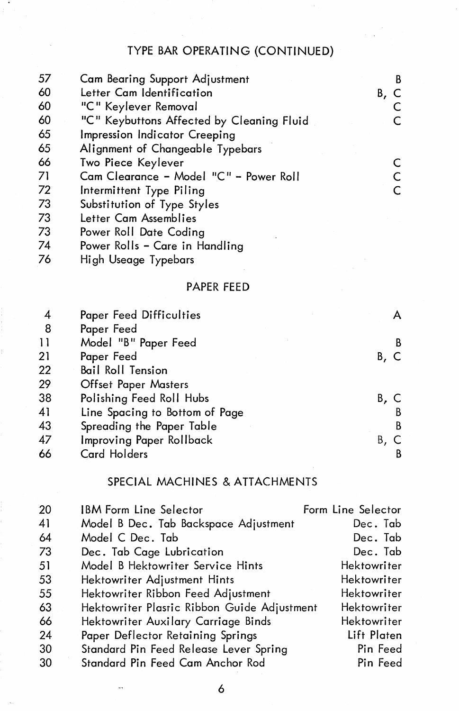# TYPE BAR OPERATING (CONTINUED)

| 57 | <b>Cam Bearing Support Adjustment</b>     | В  |
|----|-------------------------------------------|----|
| 60 | Letter Cam Identification                 | Β. |
| 60 | "C" Keylever Removal                      |    |
| 60 | "C" Keybuttons Affected by Cleaning Fluid |    |
| 65 | Impression Indicator Creeping             |    |
| 65 | Alignment of Changeable Typebars          |    |
| 66 | Two Piece Keylever                        |    |
| 71 | Cam Clearance - Model "C" - Power Roll    |    |
| 72 | Intermittent Type Piling                  |    |
| 73 | Substitution of Type Styles               |    |
| 73 | Letter Cam Assemblies                     |    |
| 73 | Power Roll Date Coding                    |    |
| 74 | Power Rolls - Care in Handling            |    |
| 76 | High Useage Typebars                      |    |

#### PAPER FEED

|    | Paper Feed Difficulties        |      |
|----|--------------------------------|------|
| -8 | Paper Feed                     |      |
| 11 | Model "B" Paper Feed           | В    |
| 21 | Paper Feed                     | B, C |
| 22 | <b>Bail Roll Tension</b>       |      |
| 29 | <b>Offset Paper Masters</b>    |      |
| 38 | Polishing Feed Roll Hubs       | B. C |
| 41 | Line Spacing to Bottom of Page | B    |
| 43 | Spreading the Paper Table      | B    |
| 47 | Improving Paper Rollback       | Β.   |
| 66 | Card Holders                   | B    |

## SPECIAL MACHINES & ATTACHMENTS

| 20  | IBM Form Line Selector                      | Form Line Selector |
|-----|---------------------------------------------|--------------------|
| 41  | Model B Dec. Tab Backspace Adjustment       | Dec. Tab           |
| 64  | Model C Dec. Tab                            | Dec. Tab           |
| 73  | Dec. Tab Cage Lubrication                   | Dec. Tab           |
| -51 | Model B Hektowriter Service Hints           | Hektowriter        |
| 53  | Hektowriter Adjustment Hints                | Hektowriter        |
| 55  | Hektowriter Ribbon Feed Adjustment          | Hektowriter        |
| 63  | Hektowriter Plastic Ribbon Guide Adjustment | Hektowriter        |
| 66  | Hektowriter Auxilary Carriage Binds         | Hektowriter        |
| 24  | Paper Deflector Retaining Springs           | Lift Platen        |
| 30  | Standard Pin Feed Release Lever Spring      | Pin Feed           |
| -30 | Standard Pin Feed Cam Anchor Rod            | Pin Feed           |